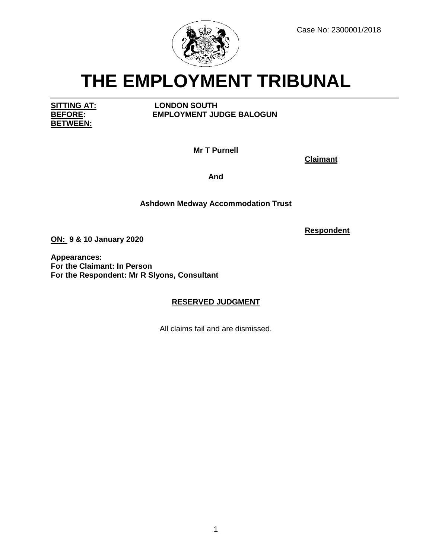

# **THE EMPLOYMENT TRIBUNAL**

**BETWEEN:**

**SITTING AT: LONDON SOUTH EMPLOYMENT JUDGE BALOGUN** 

**Mr T Purnell**

**Claimant**

**And**

# **Ashdown Medway Accommodation Trust**

**Respondent**

**ON: 9 & 10 January 2020**

**Appearances: For the Claimant: In Person For the Respondent: Mr R Slyons, Consultant**

# **RESERVED JUDGMENT**

All claims fail and are dismissed.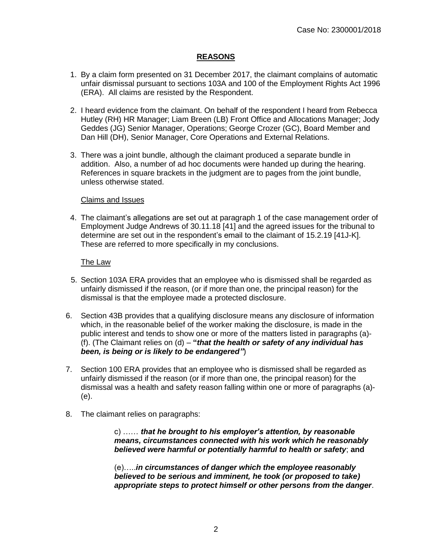# **REASONS**

- 1. By a claim form presented on 31 December 2017, the claimant complains of automatic unfair dismissal pursuant to sections 103A and 100 of the Employment Rights Act 1996 (ERA). All claims are resisted by the Respondent.
- 2. I heard evidence from the claimant. On behalf of the respondent I heard from Rebecca Hutley (RH) HR Manager; Liam Breen (LB) Front Office and Allocations Manager; Jody Geddes (JG) Senior Manager, Operations; George Crozer (GC), Board Member and Dan Hill (DH), Senior Manager, Core Operations and External Relations.
- 3. There was a joint bundle, although the claimant produced a separate bundle in addition. Also, a number of ad hoc documents were handed up during the hearing. References in square brackets in the judgment are to pages from the joint bundle, unless otherwise stated.

#### Claims and Issues

4. The claimant's allegations are set out at paragraph 1 of the case management order of Employment Judge Andrews of 30.11.18 [41] and the agreed issues for the tribunal to determine are set out in the respondent's email to the claimant of 15.2.19 [41J-K]. These are referred to more specifically in my conclusions.

#### The Law

- 5. Section 103A ERA provides that an employee who is dismissed shall be regarded as unfairly dismissed if the reason, (or if more than one, the principal reason) for the dismissal is that the employee made a protected disclosure.
- 6. Section 43B provides that a qualifying disclosure means any disclosure of information which, in the reasonable belief of the worker making the disclosure, is made in the public interest and tends to show one or more of the matters listed in paragraphs (a)- (f). (The Claimant relies on (d) – **"***that the health or safety of any individual has been, is being or is likely to be endangered"*)
- 7. Section 100 ERA provides that an employee who is dismissed shall be regarded as unfairly dismissed if the reason (or if more than one, the principal reason) for the dismissal was a health and safety reason falling within one or more of paragraphs (a)- (e).
- 8. The claimant relies on paragraphs:

c) …… *that he brought to his employer's attention, by reasonable means, circumstances connected with his work which he reasonably believed were harmful or potentially harmful to health or safety*; **and**

(e)…..*in circumstances of danger which the employee reasonably believed to be serious and imminent, he took (or proposed to take) appropriate steps to protect himself or other persons from the danger*.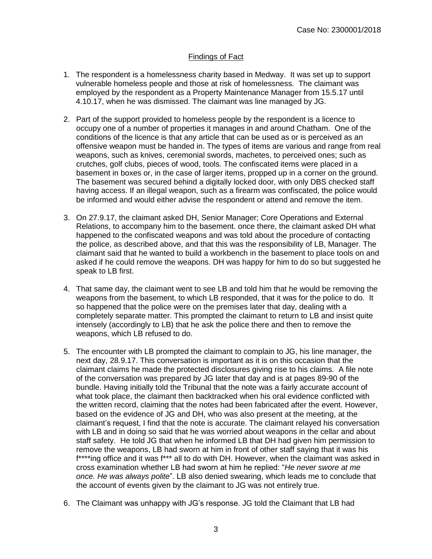# Findings of Fact

- 1. The respondent is a homelessness charity based in Medway. It was set up to support vulnerable homeless people and those at risk of homelessness. The claimant was employed by the respondent as a Property Maintenance Manager from 15.5.17 until 4.10.17, when he was dismissed. The claimant was line managed by JG.
- 2. Part of the support provided to homeless people by the respondent is a licence to occupy one of a number of properties it manages in and around Chatham. One of the conditions of the licence is that any article that can be used as or is perceived as an offensive weapon must be handed in. The types of items are various and range from real weapons, such as knives, ceremonial swords, machetes, to perceived ones; such as crutches, golf clubs, pieces of wood, tools. The confiscated items were placed in a basement in boxes or, in the case of larger items, propped up in a corner on the ground. The basement was secured behind a digitally locked door, with only DBS checked staff having access. If an illegal weapon, such as a firearm was confiscated, the police would be informed and would either advise the respondent or attend and remove the item.
- 3. On 27.9.17, the claimant asked DH, Senior Manager; Core Operations and External Relations, to accompany him to the basement. once there, the claimant asked DH what happened to the confiscated weapons and was told about the procedure of contacting the police, as described above, and that this was the responsibility of LB, Manager. The claimant said that he wanted to build a workbench in the basement to place tools on and asked if he could remove the weapons. DH was happy for him to do so but suggested he speak to LB first.
- 4. That same day, the claimant went to see LB and told him that he would be removing the weapons from the basement, to which LB responded, that it was for the police to do. It so happened that the police were on the premises later that day, dealing with a completely separate matter. This prompted the claimant to return to LB and insist quite intensely (accordingly to LB) that he ask the police there and then to remove the weapons, which LB refused to do.
- 5. The encounter with LB prompted the claimant to complain to JG, his line manager, the next day, 28.9.17. This conversation is important as it is on this occasion that the claimant claims he made the protected disclosures giving rise to his claims. A file note of the conversation was prepared by JG later that day and is at pages 89-90 of the bundle. Having initially told the Tribunal that the note was a fairly accurate account of what took place, the claimant then backtracked when his oral evidence conflicted with the written record, claiming that the notes had been fabricated after the event. However, based on the evidence of JG and DH, who was also present at the meeting, at the claimant's request, I find that the note is accurate. The claimant relayed his conversation with LB and in doing so said that he was worried about weapons in the cellar and about staff safety. He told JG that when he informed LB that DH had given him permission to remove the weapons, LB had sworn at him in front of other staff saying that it was his f\*\*\*\*ing office and it was f\*\*\* all to do with DH. However, when the claimant was asked in cross examination whether LB had sworn at him he replied: "*He never swore at me once. He was always polite*". LB also denied swearing, which leads me to conclude that the account of events given by the claimant to JG was not entirely true.
- 6. The Claimant was unhappy with JG's response. JG told the Claimant that LB had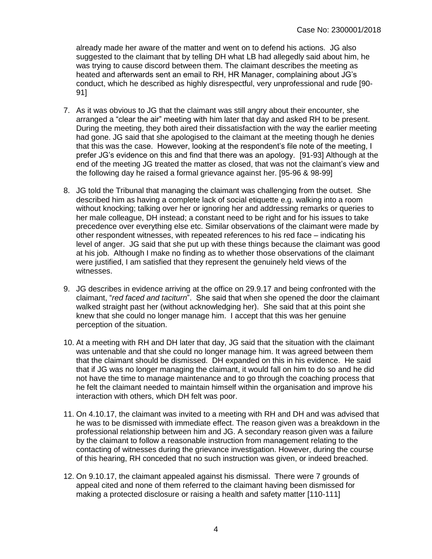already made her aware of the matter and went on to defend his actions. JG also suggested to the claimant that by telling DH what LB had allegedly said about him, he was trying to cause discord between them. The claimant describes the meeting as heated and afterwards sent an email to RH, HR Manager, complaining about JG's conduct, which he described as highly disrespectful, very unprofessional and rude [90- 91]

- 7. As it was obvious to JG that the claimant was still angry about their encounter, she arranged a "clear the air" meeting with him later that day and asked RH to be present. During the meeting, they both aired their dissatisfaction with the way the earlier meeting had gone. JG said that she apologised to the claimant at the meeting though he denies that this was the case. However, looking at the respondent's file note of the meeting, I prefer JG's evidence on this and find that there was an apology. [91-93] Although at the end of the meeting JG treated the matter as closed, that was not the claimant's view and the following day he raised a formal grievance against her. [95-96 & 98-99]
- 8. JG told the Tribunal that managing the claimant was challenging from the outset. She described him as having a complete lack of social etiquette e.g. walking into a room without knocking; talking over her or ignoring her and addressing remarks or queries to her male colleague, DH instead; a constant need to be right and for his issues to take precedence over everything else etc. Similar observations of the claimant were made by other respondent witnesses, with repeated references to his red face – indicating his level of anger. JG said that she put up with these things because the claimant was good at his job. Although I make no finding as to whether those observations of the claimant were justified, I am satisfied that they represent the genuinely held views of the witnesses.
- 9. JG describes in evidence arriving at the office on 29.9.17 and being confronted with the claimant, "*red faced and taciturn*". She said that when she opened the door the claimant walked straight past her (without acknowledging her). She said that at this point she knew that she could no longer manage him. I accept that this was her genuine perception of the situation.
- 10. At a meeting with RH and DH later that day, JG said that the situation with the claimant was untenable and that she could no longer manage him. It was agreed between them that the claimant should be dismissed. DH expanded on this in his evidence. He said that if JG was no longer managing the claimant, it would fall on him to do so and he did not have the time to manage maintenance and to go through the coaching process that he felt the claimant needed to maintain himself within the organisation and improve his interaction with others, which DH felt was poor.
- 11. On 4.10.17, the claimant was invited to a meeting with RH and DH and was advised that he was to be dismissed with immediate effect. The reason given was a breakdown in the professional relationship between him and JG. A secondary reason given was a failure by the claimant to follow a reasonable instruction from management relating to the contacting of witnesses during the grievance investigation. However, during the course of this hearing, RH conceded that no such instruction was given, or indeed breached.
- 12. On 9.10.17, the claimant appealed against his dismissal. There were 7 grounds of appeal cited and none of them referred to the claimant having been dismissed for making a protected disclosure or raising a health and safety matter [110-111]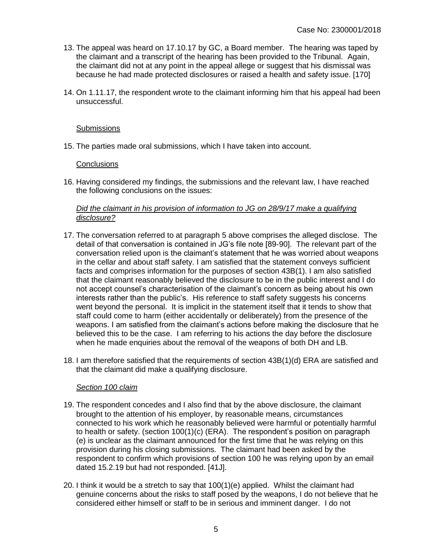- 13. The appeal was heard on 17.10.17 by GC, a Board member. The hearing was taped by the claimant and a transcript of the hearing has been provided to the Tribunal. Again, the claimant did not at any point in the appeal allege or suggest that his dismissal was because he had made protected disclosures or raised a health and safety issue. [170]
- 14. On 1.11.17, the respondent wrote to the claimant informing him that his appeal had been unsuccessful.

# **Submissions**

15. The parties made oral submissions, which I have taken into account.

# **Conclusions**

16. Having considered my findings, the submissions and the relevant law, I have reached the following conclusions on the issues:

### *Did the claimant in his provision of information to JG on 28/9/17 make a qualifying disclosure?*

- 17. The conversation referred to at paragraph 5 above comprises the alleged disclose. The detail of that conversation is contained in JG's file note [89-90]. The relevant part of the conversation relied upon is the claimant's statement that he was worried about weapons in the cellar and about staff safety. I am satisfied that the statement conveys sufficient facts and comprises information for the purposes of section 43B(1). I am also satisfied that the claimant reasonably believed the disclosure to be in the public interest and I do not accept counsel's characterisation of the claimant's concern as being about his own interests rather than the public's. His reference to staff safety suggests his concerns went beyond the personal. It is implicit in the statement itself that it tends to show that staff could come to harm (either accidentally or deliberately) from the presence of the weapons. I am satisfied from the claimant's actions before making the disclosure that he believed this to be the case. I am referring to his actions the day before the disclosure when he made enquiries about the removal of the weapons of both DH and LB.
- 18. I am therefore satisfied that the requirements of section 43B(1)(d) ERA are satisfied and that the claimant did make a qualifying disclosure.

# *Section 100 claim*

- 19. The respondent concedes and I also find that by the above disclosure, the claimant brought to the attention of his employer, by reasonable means, circumstances connected to his work which he reasonably believed were harmful or potentially harmful to health or safety. (section 100(1)(c) (ERA). The respondent's position on paragraph (e) is unclear as the claimant announced for the first time that he was relying on this provision during his closing submissions. The claimant had been asked by the respondent to confirm which provisions of section 100 he was relying upon by an email dated 15.2.19 but had not responded. [41J].
- 20. I think it would be a stretch to say that 100(1)(e) applied. Whilst the claimant had genuine concerns about the risks to staff posed by the weapons, I do not believe that he considered either himself or staff to be in serious and imminent danger. I do not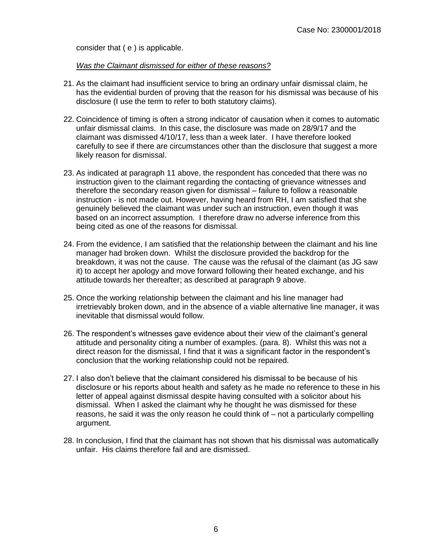consider that ( e ) is applicable.

*Was the Claimant dismissed for either of these reasons?*

- 21. As the claimant had insufficient service to bring an ordinary unfair dismissal claim, he has the evidential burden of proving that the reason for his dismissal was because of his disclosure (I use the term to refer to both statutory claims).
- 22. Coincidence of timing is often a strong indicator of causation when it comes to automatic unfair dismissal claims. In this case, the disclosure was made on 28/9/17 and the claimant was dismissed 4/10/17, less than a week later. I have therefore looked carefully to see if there are circumstances other than the disclosure that suggest a more likely reason for dismissal.
- 23. As indicated at paragraph 11 above, the respondent has conceded that there was no instruction given to the claimant regarding the contacting of grievance witnesses and therefore the secondary reason given for dismissal – failure to follow a reasonable instruction - is not made out. However, having heard from RH, I am satisfied that she genuinely believed the claimant was under such an instruction, even though it was based on an incorrect assumption. I therefore draw no adverse inference from this being cited as one of the reasons for dismissal.
- 24. From the evidence, I am satisfied that the relationship between the claimant and his line manager had broken down. Whilst the disclosure provided the backdrop for the breakdown, it was not the cause. The cause was the refusal of the claimant (as JG saw it) to accept her apology and move forward following their heated exchange, and his attitude towards her thereafter; as described at paragraph 9 above.
- 25. Once the working relationship between the claimant and his line manager had irretrievably broken down, and in the absence of a viable alternative line manager, it was inevitable that dismissal would follow.
- 26. The respondent's witnesses gave evidence about their view of the claimant's general attitude and personality citing a number of examples. (para. 8). Whilst this was not a direct reason for the dismissal, I find that it was a significant factor in the respondent's conclusion that the working relationship could not be repaired.
- 27. I also don't believe that the claimant considered his dismissal to be because of his disclosure or his reports about health and safety as he made no reference to these in his letter of appeal against dismissal despite having consulted with a solicitor about his dismissal. When I asked the claimant why he thought he was dismissed for these reasons, he said it was the only reason he could think of – not a particularly compelling argument.
- 28. In conclusion, I find that the claimant has not shown that his dismissal was automatically unfair. His claims therefore fail and are dismissed.